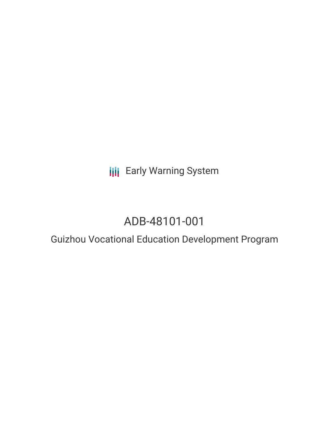**III** Early Warning System

# ADB-48101-001

## Guizhou Vocational Education Development Program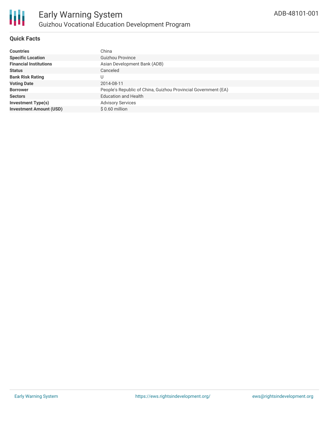

#### **Quick Facts**

| <b>Countries</b>               | China                                                          |
|--------------------------------|----------------------------------------------------------------|
| <b>Specific Location</b>       | <b>Guizhou Province</b>                                        |
| <b>Financial Institutions</b>  | Asian Development Bank (ADB)                                   |
| <b>Status</b>                  | Canceled                                                       |
| <b>Bank Risk Rating</b>        | U                                                              |
| <b>Voting Date</b>             | 2014-08-11                                                     |
| <b>Borrower</b>                | People's Republic of China, Guizhou Provincial Government (EA) |
| <b>Sectors</b>                 | <b>Education and Health</b>                                    |
| <b>Investment Type(s)</b>      | <b>Advisory Services</b>                                       |
| <b>Investment Amount (USD)</b> | $$0.60$ million                                                |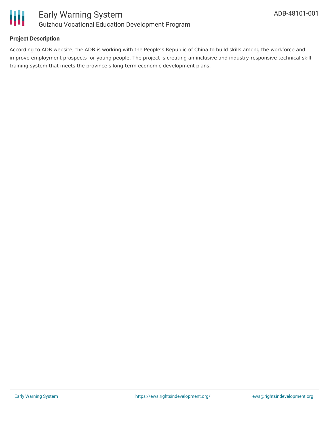

#### **Project Description**

According to ADB website, the ADB is working with the People's Republic of China to build skills among the workforce and improve employment prospects for young people. The project is creating an inclusive and industry-responsive technical skill training system that meets the province's long-term economic development plans.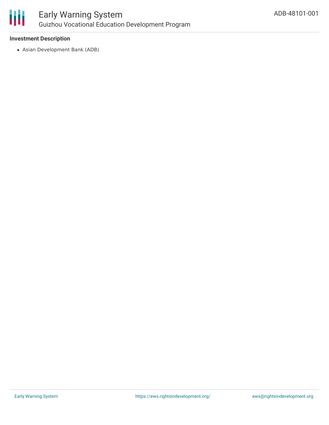

#### **Investment Description**

Asian Development Bank (ADB)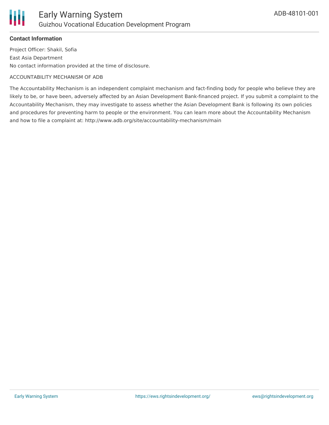

### **Contact Information**

Project Officer: Shakil, Sofia East Asia Department No contact information provided at the time of disclosure.

#### ACCOUNTABILITY MECHANISM OF ADB

The Accountability Mechanism is an independent complaint mechanism and fact-finding body for people who believe they are likely to be, or have been, adversely affected by an Asian Development Bank-financed project. If you submit a complaint to the Accountability Mechanism, they may investigate to assess whether the Asian Development Bank is following its own policies and procedures for preventing harm to people or the environment. You can learn more about the Accountability Mechanism and how to file a complaint at: http://www.adb.org/site/accountability-mechanism/main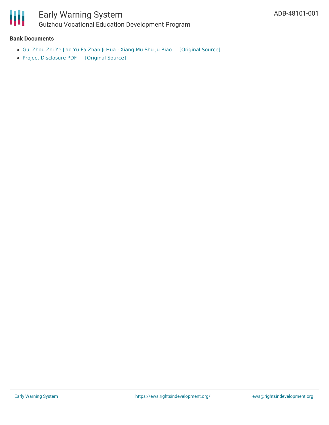

#### **Bank Documents**

- Gui Zhou Zhi Ye Jiao Yu Fa Zhan Ji Hua : [Xiang](https://ewsdata.rightsindevelopment.org/files/documents/01/ADB-48101-001_zKMlxVH.pdf) Mu Shu Ju Biao [\[Original](https://www.adb.org/zh/projects/documents/48101-001-project-data-sheet) Source]
- Project [Disclosure](https://ewsdata.rightsindevelopment.org/files/documents/01/ADB-48101-001.pdf) PDF [\[Original](https://www.adb.org/printpdf/projects/48101-001/main) Source]